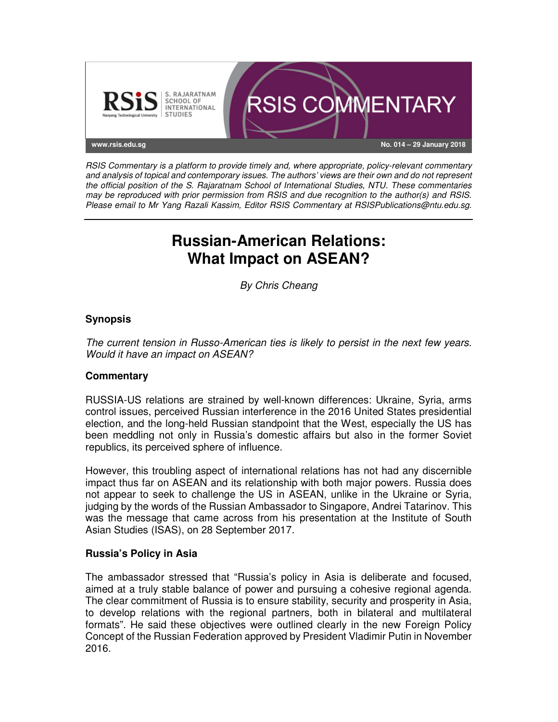

RSIS Commentary is a platform to provide timely and, where appropriate, policy-relevant commentary and analysis of topical and contemporary issues. The authors' views are their own and do not represent the official position of the S. Rajaratnam School of International Studies, NTU. These commentaries may be reproduced with prior permission from RSIS and due recognition to the author(s) and RSIS. Please email to Mr Yang Razali Kassim, Editor RSIS Commentary at RSISPublications@ntu.edu.sg.

# **Russian-American Relations: What Impact on ASEAN?**

By Chris Cheang

## **Synopsis**

The current tension in Russo-American ties is likely to persist in the next few years. Would it have an impact on ASEAN?

### **Commentary**

RUSSIA-US relations are strained by well-known differences: Ukraine, Syria, arms control issues, perceived Russian interference in the 2016 United States presidential election, and the long-held Russian standpoint that the West, especially the US has been meddling not only in Russia's domestic affairs but also in the former Soviet republics, its perceived sphere of influence.

However, this troubling aspect of international relations has not had any discernible impact thus far on ASEAN and its relationship with both major powers. Russia does not appear to seek to challenge the US in ASEAN, unlike in the Ukraine or Syria, judging by the words of the Russian Ambassador to Singapore, Andrei Tatarinov. This was the message that came across from his presentation at the Institute of South Asian Studies (ISAS), on 28 September 2017.

### **Russia's Policy in Asia**

The ambassador stressed that "Russia's policy in Asia is deliberate and focused, aimed at a truly stable balance of power and pursuing a cohesive regional agenda. The clear commitment of Russia is to ensure stability, security and prosperity in Asia, to develop relations with the regional partners, both in bilateral and multilateral formats". He said these objectives were outlined clearly in the new Foreign Policy Concept of the Russian Federation approved by President Vladimir Putin in November 2016.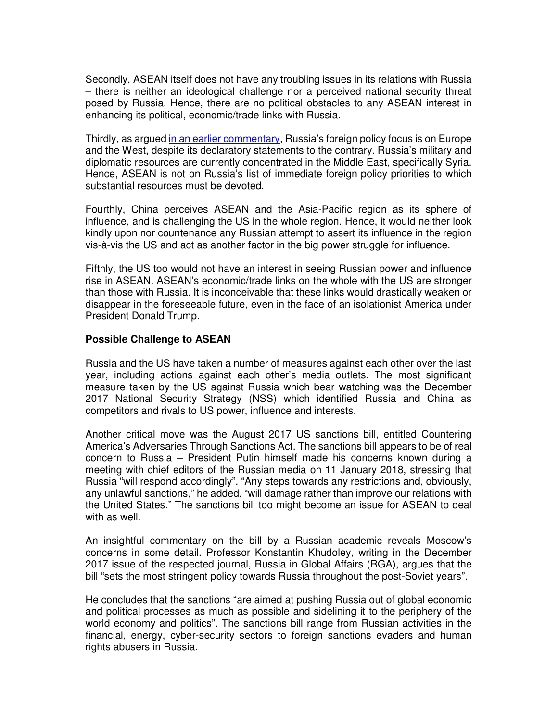Secondly, ASEAN itself does not have any troubling issues in its relations with Russia – there is neither an ideological challenge nor a perceived national security threat posed by Russia. Hence, there are no political obstacles to any ASEAN interest in enhancing its political, economic/trade links with Russia.

Thirdly, as argued in an earlier commentary, Russia's foreign policy focus is on Europe and the West, despite its declaratory statements to the contrary. Russia's military and diplomatic resources are currently concentrated in the Middle East, specifically Syria. Hence, ASEAN is not on Russia's list of immediate foreign policy priorities to which substantial resources must be devoted.

Fourthly, China perceives ASEAN and the Asia-Pacific region as its sphere of influence, and is challenging the US in the whole region. Hence, it would neither look kindly upon nor countenance any Russian attempt to assert its influence in the region vis-à-vis the US and act as another factor in the big power struggle for influence.

Fifthly, the US too would not have an interest in seeing Russian power and influence rise in ASEAN. ASEAN's economic/trade links on the whole with the US are stronger than those with Russia. It is inconceivable that these links would drastically weaken or disappear in the foreseeable future, even in the face of an isolationist America under President Donald Trump.

#### **Possible Challenge to ASEAN**

Russia and the US have taken a number of measures against each other over the last year, including actions against each other's media outlets. The most significant measure taken by the US against Russia which bear watching was the December 2017 National Security Strategy (NSS) which identified Russia and China as competitors and rivals to US power, influence and interests.

Another critical move was the August 2017 US sanctions bill, entitled Countering America's Adversaries Through Sanctions Act. The sanctions bill appears to be of real concern to Russia – President Putin himself made his concerns known during a meeting with chief editors of the Russian media on 11 January 2018, stressing that Russia "will respond accordingly". "Any steps towards any restrictions and, obviously, any unlawful sanctions," he added, "will damage rather than improve our relations with the United States." The sanctions bill too might become an issue for ASEAN to deal with as well.

An insightful commentary on the bill by a Russian academic reveals Moscow's concerns in some detail. Professor Konstantin Khudoley, writing in the December 2017 issue of the respected journal, Russia in Global Affairs (RGA), argues that the bill "sets the most stringent policy towards Russia throughout the post-Soviet years".

He concludes that the sanctions "are aimed at pushing Russia out of global economic and political processes as much as possible and sidelining it to the periphery of the world economy and politics". The sanctions bill range from Russian activities in the financial, energy, cyber-security sectors to foreign sanctions evaders and human rights abusers in Russia.